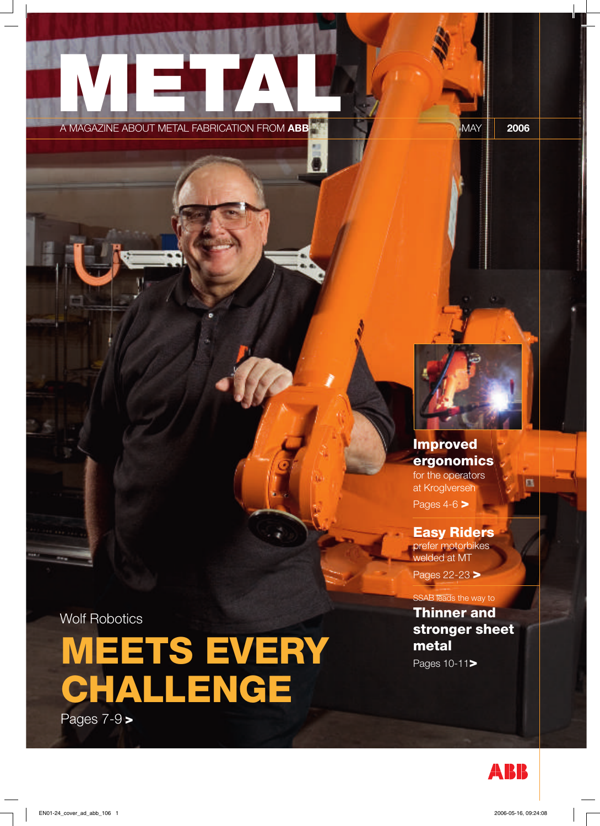## **METAL** A MAGAZINE ABOUT METAL FABRICATION FROM **ABB** MAY **2006**



**Improved ergonomics** for the operators at KrogIversen Pages 4-6 **>**

區

**Easy Riders** prefer motorbikes welded at MT

Pages 22-23 **>**

SSAB leads the way to

**Thinner and stronger sheet metal**

Pages 10-11**>**

Wolf Robotics

**MEETS EVERY CHALLENGE**

Pages 7-9 **>**

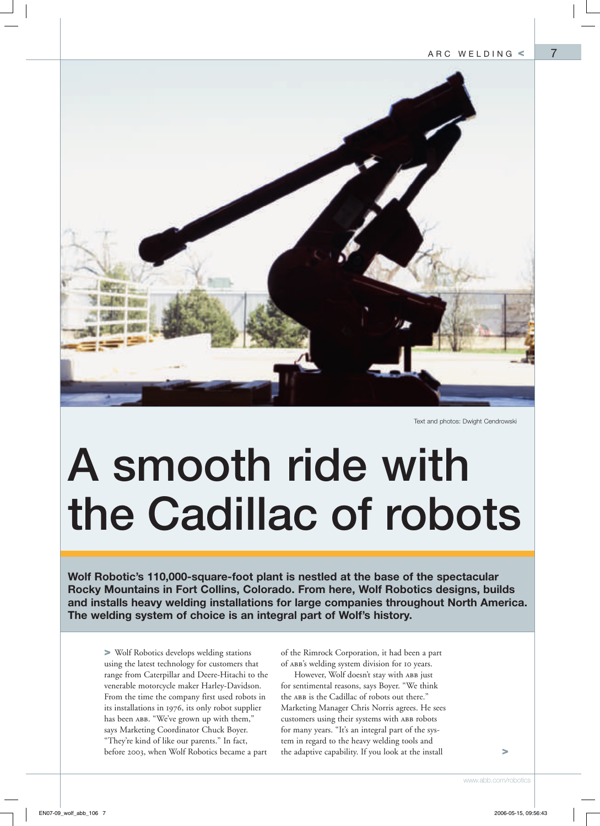7



Text and photos: Dwight Cendrowski

# **A smooth ride with the Cadillac of robots**

**Wolf Robotic's 110,000-square-foot plant is nestled at the base of the spectacular Rocky Mountains in Fort Collins, Colorado. From here, Wolf Robotics designs, builds and installs heavy welding installations for large companies throughout North America. The welding system of choice is an integral part of Wolf's history.**

**>** Wolf Robotics develops welding stations using the latest technology for customers that range from Caterpillar and Deere-Hitachi to the venerable motorcycle maker Harley-Davidson. From the time the company first used robots in its installations in 1976, its only robot supplier has been ABB. "We've grown up with them," says Marketing Coordinator Chuck Boyer. "They're kind of like our parents." In fact, before 2003, when Wolf Robotics became a part

of the Rimrock Corporation, it had been a part of abb's welding system division for 10 years.

However, Wolf doesn't stay with ABB just for sentimental reasons, says Boyer. "We think the ABB is the Cadillac of robots out there." Marketing Manager Chris Norris agrees. He sees customers using their systems with ABB robots for many years. "It's an integral part of the system in regard to the heavy welding tools and the adaptive capability. If you look at the install

**>**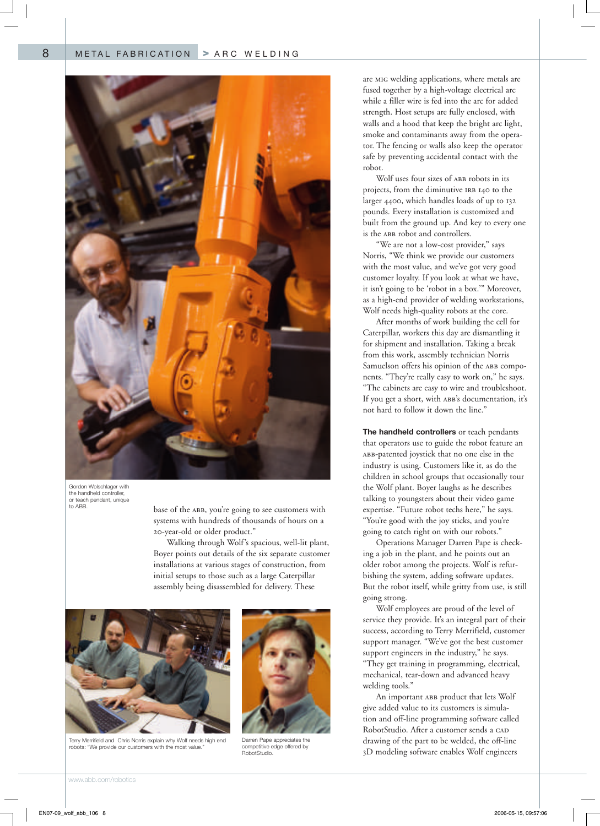8



Gordon Wolschlager with the handheld controller, or teach pendant, unique to ABB.

base of the ABB, you're going to see customers with systems with hundreds of thousands of hours on a 20-year-old or older product."

Walking through Wolf's spacious, well-lit plant, Boyer points out details of the six separate customer installations at various stages of construction, from initial setups to those such as a large Caterpillar assembly being disassembled for delivery. These



Terry Merrifield and Chris Norris explain why Wolf needs high end robots: "We provide our customers with the most value.



Darren Pape appreciates the competitive edge offered by RobotStudio.

are mig welding applications, where metals are fused together by a high-voltage electrical arc while a filler wire is fed into the arc for added strength. Host setups are fully enclosed, with walls and a hood that keep the bright arc light, smoke and contaminants away from the operator. The fencing or walls also keep the operator safe by preventing accidental contact with the robot.

Wolf uses four sizes of ABB robots in its projects, from the diminutive IRB 140 to the larger 4400, which handles loads of up to 132 pounds. Every installation is customized and built from the ground up. And key to every one is the ABB robot and controllers.

"We are not a low-cost provider," says Norris, "We think we provide our customers with the most value, and we've got very good customer loyalty. If you look at what we have, it isn't going to be 'robot in a box.'" Moreover, as a high-end provider of welding workstations, Wolf needs high-quality robots at the core.

After months of work building the cell for Caterpillar, workers this day are dismantling it for shipment and installation. Taking a break from this work, assembly technician Norris Samuelson offers his opinion of the ABB components. "They're really easy to work on," he says. "The cabinets are easy to wire and troubleshoot. If you get a short, with ABB's documentation, it's not hard to follow it down the line."

**The handheld controllers** or teach pendants that operators use to guide the robot feature an abb-patented joystick that no one else in the industry is using. Customers like it, as do the children in school groups that occasionally tour the Wolf plant. Boyer laughs as he describes talking to youngsters about their video game expertise. "Future robot techs here," he says. "You're good with the joy sticks, and you're going to catch right on with our robots."

Operations Manager Darren Pape is checking a job in the plant, and he points out an older robot among the projects. Wolf is refurbishing the system, adding software updates. But the robot itself, while gritty from use, is still going strong.

Wolf employees are proud of the level of service they provide. It's an integral part of their success, according to Terry Merrifield, customer support manager. "We've got the best customer support engineers in the industry," he says. "They get training in programming, electrical, mechanical, tear-down and advanced heavy welding tools."

An important ABB product that lets Wolf give added value to its customers is simulation and off-line programming software called RobotStudio. After a customer sends a CAD drawing of the part to be welded, the off-line 3D modeling software enables Wolf engineers